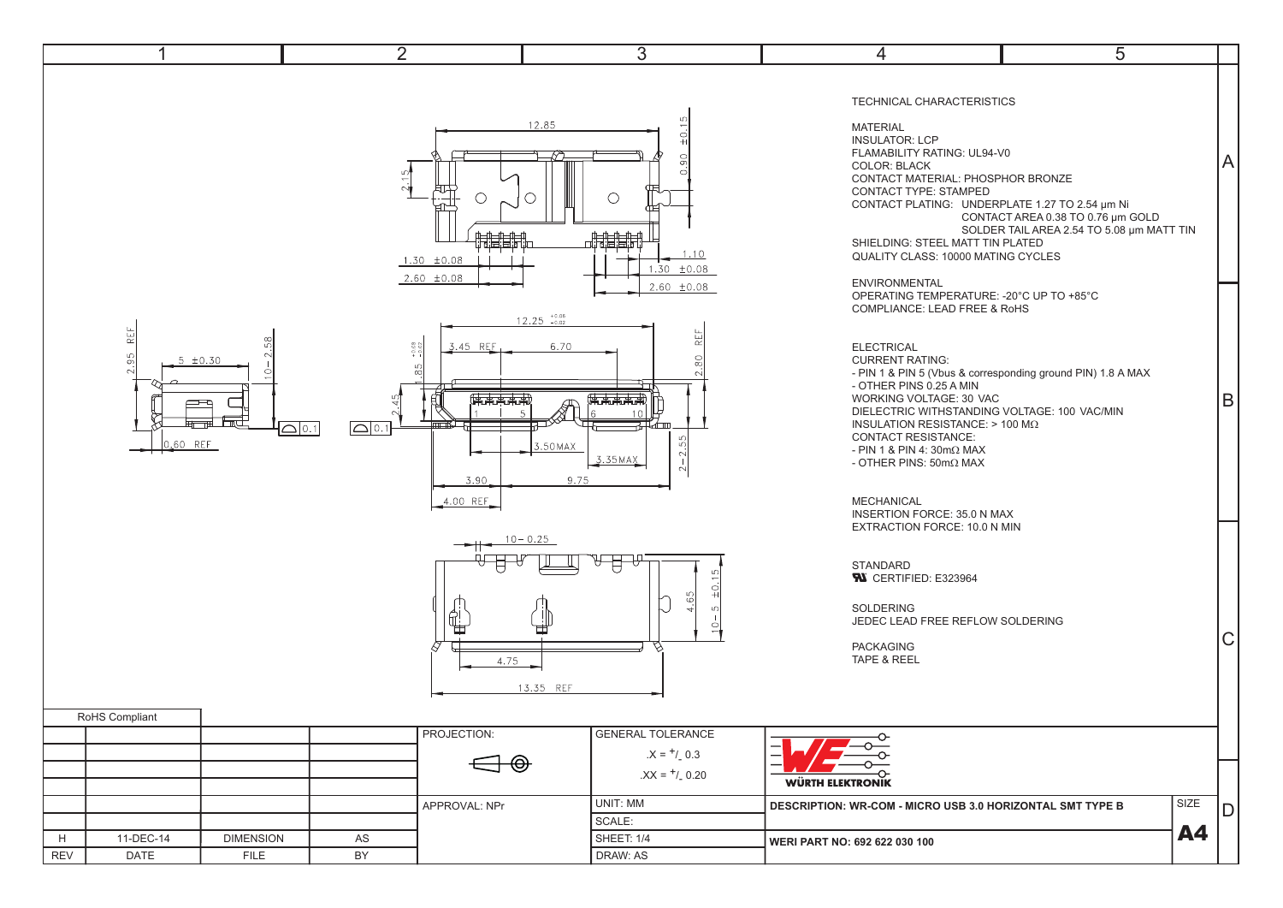| 4                                                                | $\overline{2}$                                                                                          | 3                                                                                                                | 4                                                                                                                                                                                                                                                                                                                                                                                                                                          | 5                                                                                                                                                                                                                                                                                                           |     |
|------------------------------------------------------------------|---------------------------------------------------------------------------------------------------------|------------------------------------------------------------------------------------------------------------------|--------------------------------------------------------------------------------------------------------------------------------------------------------------------------------------------------------------------------------------------------------------------------------------------------------------------------------------------------------------------------------------------------------------------------------------------|-------------------------------------------------------------------------------------------------------------------------------------------------------------------------------------------------------------------------------------------------------------------------------------------------------------|-----|
|                                                                  | $1.30 \pm 0.08$                                                                                         | 12.85<br>±0.1<br>$\overline{90}$<br>$\subset$<br>◯<br>非開催<br>1.10<br>$1.30 \pm 0.08$<br>$2.60 \pm 0.08$          |                                                                                                                                                                                                                                                                                                                                                                                                                                            | TECHNICAL CHARACTERISTICS<br>FLAMABILITY RATING: UL94-V0<br>CONTACT MATERIAL: PHOSPHOR BRONZE<br>CONTACT PLATING: UNDERPLATE 1.27 TO 2.54 µm Ni<br>CONTACT AREA 0.38 TO 0.76 µm GOLD<br>SOLDER TAIL AREA 2.54 TO 5.08 µm MATT TIN<br>SHIELDING: STEEL MATT TIN PLATED<br>QUALITY CLASS: 10000 MATING CYCLES | A   |
| 닕<br>ှ<br>၁<br>$5 \pm 0.30$<br>ᠴ<br>ᄪᆖᅖ<br>0.60 REF              | 3.45 REF<br>$+0.08$<br>LC.<br>伟末未未用<br>$\Omega$ 0.1<br>$\boxed{\bigtriangleup}$ 0.1<br>3.90<br>4.00 REF | $2.60 \pm 0.08$<br>$12.25$ $_{-0.02}^{+0.06}$<br>REF<br>K<br>6.70<br>80<br>伟志志志用<br>3.50 MAX<br>3.35 MAX<br>9.75 | <b>ENVIRONMENTAL</b><br>OPERATING TEMPERATURE: - 20°C UP TO +85°C<br><b>COMPLIANCE: LEAD FREE &amp; RoHS</b><br><b>ELECTRICAL</b><br><b>CURRENT RATING:</b><br>- OTHER PINS 0.25 A MIN<br>WORKING VOLTAGE: 30 VAC<br>DIELECTRIC WITHSTANDING VOLTAGE: 100 VAC/MIN<br><b>INSULATION RESISTANCE: &gt; 100 M<math>\Omega</math></b><br><b>CONTACT RESISTANCE:</b><br>- PIN 1 & PIN 4: 30mΩ MAX<br>- OTHER PINS: 50mΩ MAX<br><b>MECHANICAL</b> | - PIN 1 & PIN 5 (Vbus & corresponding ground PIN) 1.8 A MAX                                                                                                                                                                                                                                                 | lB. |
| RoHS Compliant                                                   | €<br>₩<br>4.75                                                                                          | $10 - 0.25$<br>±0.1<br>65<br>$\mathsf{L}\cap$<br>13.35 REF                                                       | INSERTION FORCE: 35.0 N MAX<br>EXTRACTION FORCE: 10.0 N MIN<br>STANDARD<br><b>W</b> CERTIFIED: E323964<br>SOLDERING<br>JEDEC LEAD FREE REFLOW SOLDERING<br><b>PACKAGING</b><br>TAPE & REEL                                                                                                                                                                                                                                                 |                                                                                                                                                                                                                                                                                                             | C   |
|                                                                  | PROJECTION:                                                                                             | GENERAL TOLERANCE<br>$.X = +/0.3$<br>$.XX = +1.0.20$                                                             | <b>WÜRTH ELEKTRONIK</b>                                                                                                                                                                                                                                                                                                                                                                                                                    |                                                                                                                                                                                                                                                                                                             |     |
| 11-DEC-14<br><b>DIMENSION</b><br>H<br>REV<br><b>FILE</b><br>DATE | APPROVAL: NPr<br>AS<br>BY                                                                               | UNIT: MM<br>SCALE:<br>SHEET: 1/4<br>DRAW: AS                                                                     | <b>DESCRIPTION: WR-COM - MICRO USB 3.0 HORIZONTAL SMT TYPE B</b><br>WERI PART NO: 692 622 030 100                                                                                                                                                                                                                                                                                                                                          | SIZE<br>A4                                                                                                                                                                                                                                                                                                  | lD. |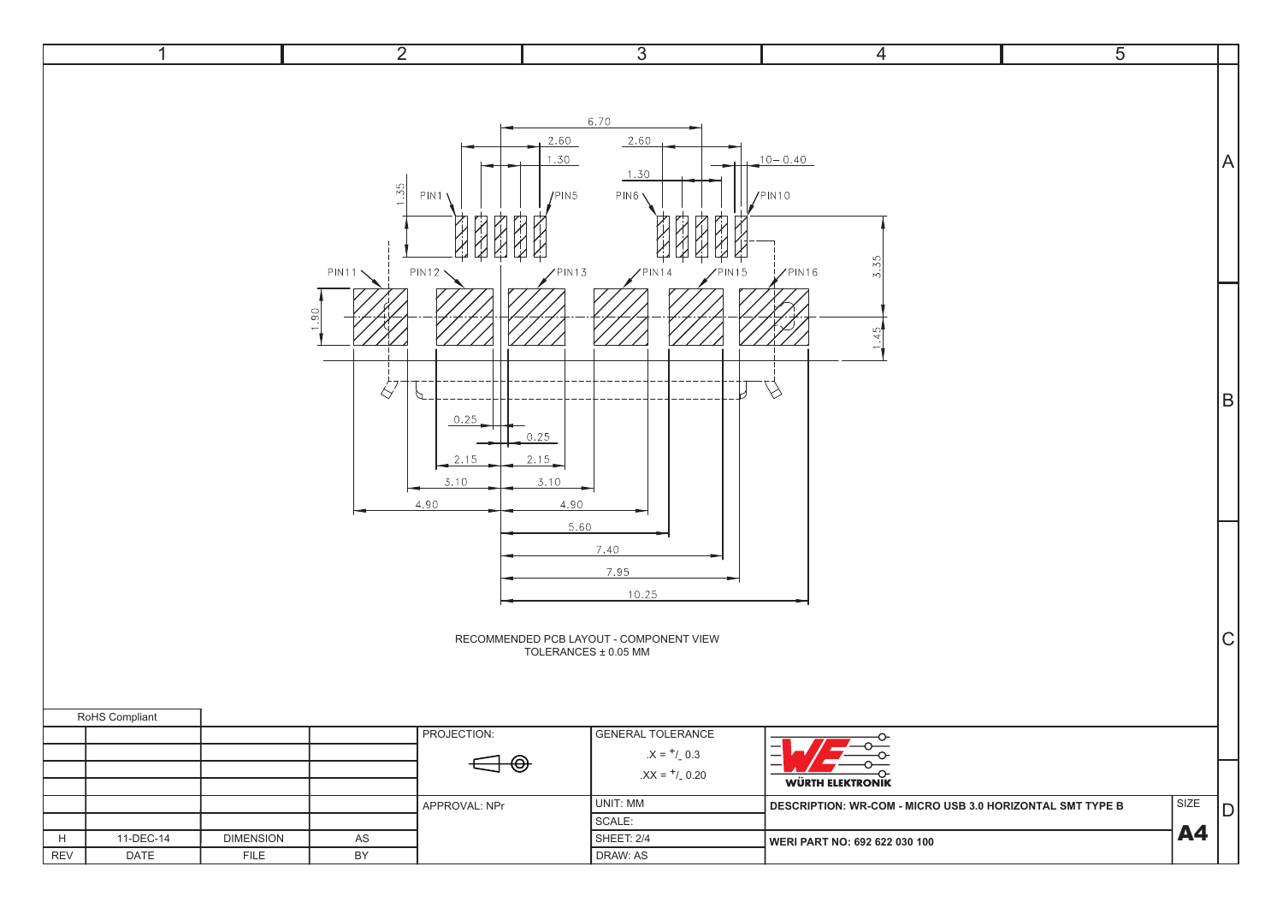|                               |                          | $\overline{2}$            |                                                                   | $\overline{3}$                                                                                                | 4                                                                                    | $\overline{5}$ |                |
|-------------------------------|--------------------------|---------------------------|-------------------------------------------------------------------|---------------------------------------------------------------------------------------------------------------|--------------------------------------------------------------------------------------|----------------|----------------|
|                               |                          | $\frac{55}{ }$<br>PIN11 \ | 2.60<br>1.30<br>PIN1<br>IPIN5<br><b>PIN12</b><br>PIN13            | 6.70<br>2.60<br>1.30<br>PIN6 <sub>1</sub><br>PIN <sub>15</sub><br>N14                                         | $10 - 0.40$<br>$/$ PIN10<br>40<br>$\triangleright$<br>$Z$ PIN16<br>N                 |                | A              |
|                               |                          | $\overline{5}$<br>ŔÝ      | P<br>0.25<br>0.25<br>2.15<br>2.15<br>3.10<br>3.10<br>4.90<br>4.90 |                                                                                                               | U<br>$\varphi$                                                                       |                | B              |
| RoHS Compliant                |                          |                           | 5.60<br>PROJECTION:                                               | 7.40<br>7.95<br>10.25<br>RECOMMENDED PCB LAYOUT - COMPONENT VIEW<br>TOLERANCES ± 0.05 MM<br>GENERAL TOLERANCE | ᡐ                                                                                    |                | $\overline{C}$ |
|                               |                          |                           | $\bigoplus$<br>APPROVAL: NPr                                      | $.X = +/0.3$<br>$.XX = +/0.20$<br>UNIT: MM<br>SCALE:                                                          | <b>WÜRTH ELEKTRONIK</b><br>DESCRIPTION: WR-COM - MICRO USB 3.0 HORIZONTAL SMT TYPE B | SIZE           | DI             |
| H<br>11-DEC-14<br>DATE<br>REV | <b>DIMENSION</b><br>FILE | ${\sf AS}$<br>BY          |                                                                   | SHEET: 2/4<br>DRAW: AS                                                                                        | WERI PART NO: 692 622 030 100                                                        |                | <b>A4</b>      |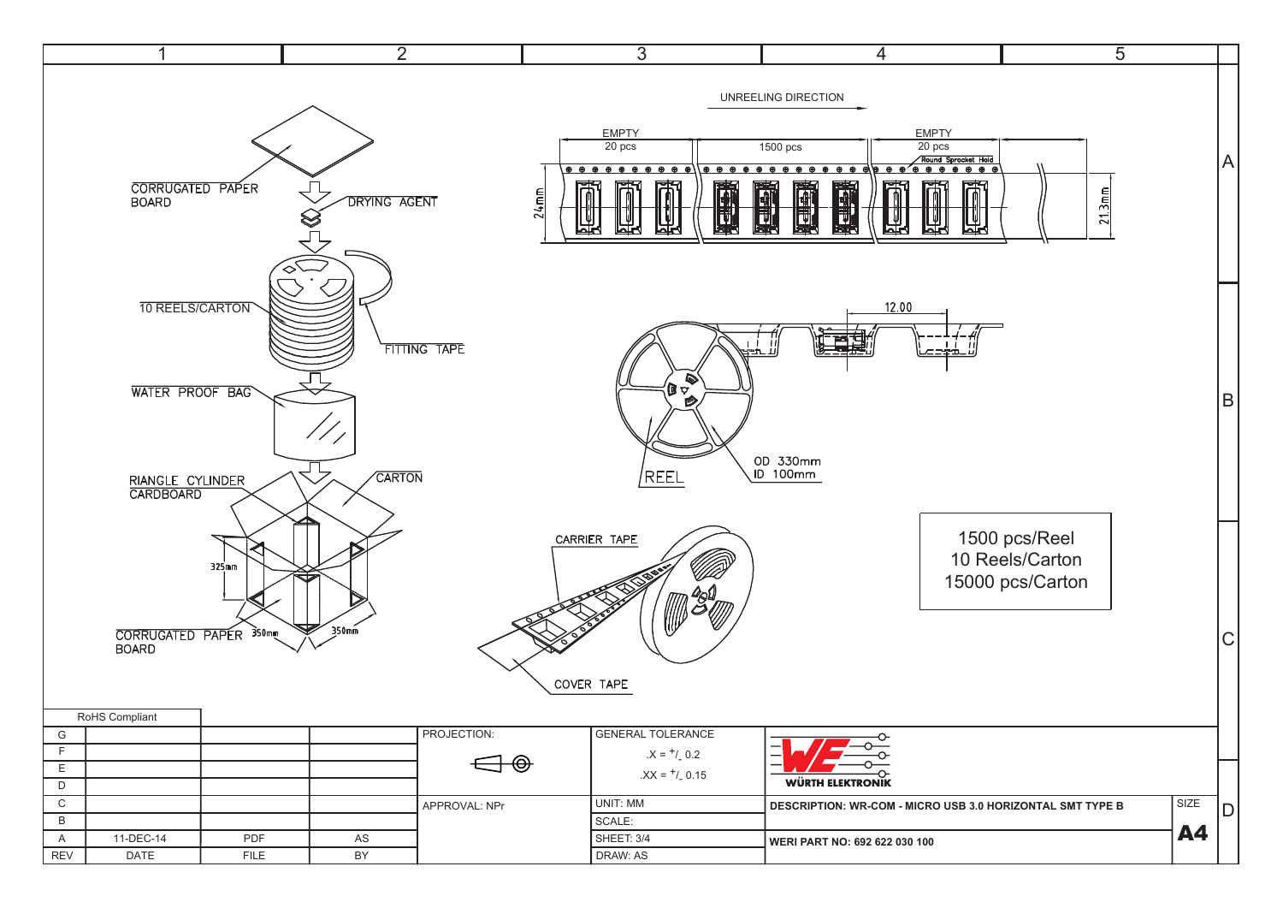